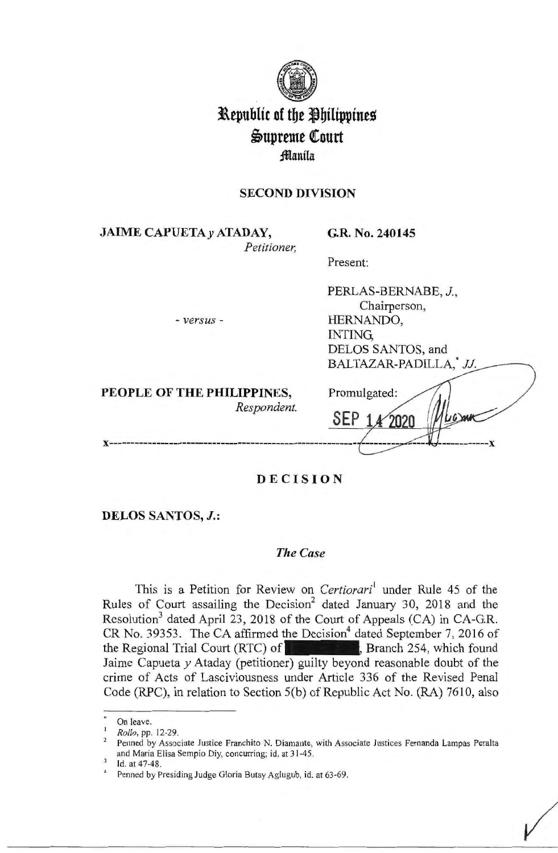

# **Republic of the Philippines**  $\mathfrak{S}$ upreme Court fflanila

# **SECOND DIVISION**

**JAIME CAPUETAy ATADAY,**  *Petitioner,*  **G.R. No. 240145** 

Present:

- *versus* -

PERLAS-BERNABE, J., Chairperson, HERNANDO, INTING, DELOS SANTOS, and BALTAZAR-PADILLA<sup>\*</sup> II

**PEOPLE OF THE PHILIPPINES,**  *Respondent.* 

| DALIAZAN-TADILLA, | JJ. |
|-------------------|-----|
| Promulgated:      |     |
|                   |     |
|                   |     |

# **DECISION**

**DELOS SANTOS, J.:** 

# *The Case*

This is a Petition for Review on *Certiorari*<sup>1</sup> under Rule 45 of the Rules of Court assailing the Decision<sup>2</sup> dated January 30, 2018 and the Resolution<sup>3</sup> dated April 23, 2018 of the Court of Appeals (CA) in CA-G.R.  $CR$  No. 39353. The CA affirmed the Decision<sup>4</sup> dated September 7, 2016 of the Regional Trial Court (RTC) of **the countability**, Branch 254, which found Jaime Capueta *y* Ataday (petitioner) guilty beyond reasonable doubt of the crime of Acts of Lasciviousness under Article 336 of the Revised Penal Code (RPC), in relation to Section 5(b) of Republic Act No. (RA) 7610, also

On leave.<br>*Rollo*, pp. 12-29.<br>Penned by Associate Justice Franchito N. Diamante, with Associate Justices Fernanda Lampas Peralta and Maria Elisa Sempio Diy, concurring; id. at 31-45.<br>3 Id. at 47-48. 4 Penned by Presiding Judge Gloria Butay Aglugub, id. at 63-69.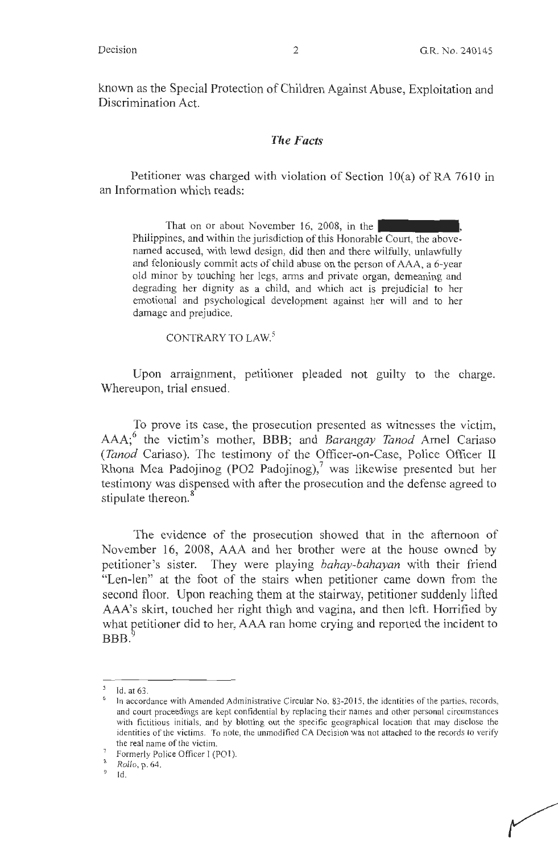known as the Special Protection of Children Against Abuse, Exploitation and Discrimination Act.

#### *The Facts*

Petitioner was charged with violation of Section l0(a) of RA 7610 in an Information which reads:

That on or about November 16, 2008, in the Philippines, and within the jurisdiction of this Honorable Court, the abovenamed accused, with lewd design, did then and there wilfully, unlawfully and feloniously commit acts of child abuse on the person of AAA, a 6-year old minor by touching her legs, arms and private organ, demeaning and degrading her dignity as a child, and which act is prejudicial to her emotional and psychological development against her will and to her damage and prejudice.

CONTRARY TO LAW. 5

Upon arraignment, petitioner pleaded not guilty to the charge. Whereupon, trial ensued.

To prove its case, the prosecution presented as witnesses the victim, AAA;6 the victim's mother, BBB; and *Barangay Tanod* Amel Cariaso *(Tanod* Cariaso). The testimony of the Officer-on-Case, Police Officer II Rhona Mea Padojinog (PO2 Padojinog), $7$  was likewise presented but her testimony was dispensed with after the prosecution and the defense agreed to stipulate thereon.<sup>8</sup>

The evidence of the prosecution showed that in the afternoon of November 16, 2008, AAA and her brother were at the house owned by petitioner's sister. They were playing *bahay-bahayan* with their friend "Len-len" at the foot of the stairs when petitioner came down from the second floor. Upon reaching them at the stairway, petitioner suddenly lifted AAA's skirt, touched her right thigh and vagina, and then left. Horrified by what petitioner did to her, AAA ran home crying and reported the incident to  $BBB.$ 

*<sup>5</sup>*Id. at 63.

In accordance with Amended Administrative Circular No. 83-2015, the identities of the parties, records, and court proceedings are kept confidential by replacing their names and other personal circumstances with fictitious initials, and by blotting out the specific geographical location that may disclose the identities of the victims. To note, the unmodified CA Decision was not attached to the records to verify

the real name of the victim.<br>
<sup>7</sup> Formerly Police Officer I (PO1).<br>
<sup>8</sup> *Rollo*, p. 64. **Id.**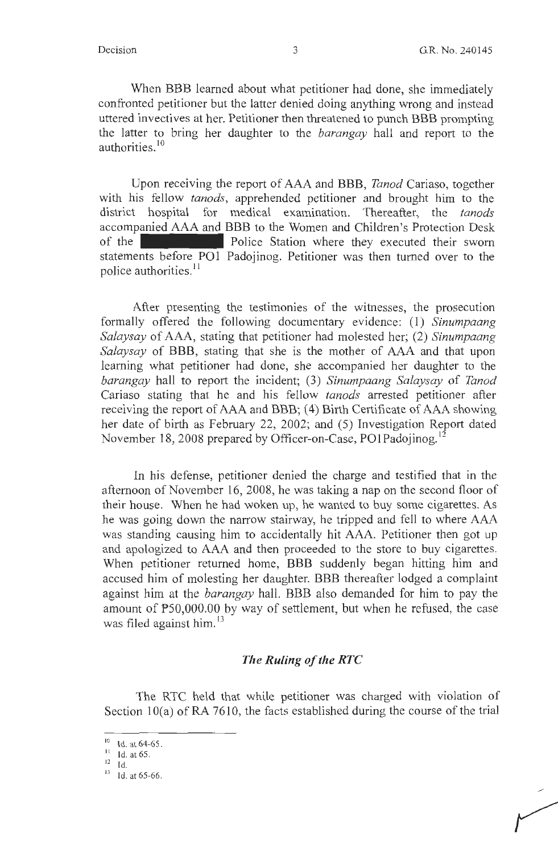*r* 

When BBB learned about what petitioner had done, she immediately confronted petitioner but the latter denied doing anything wrong and instead uttered invectives at her. Petitioner then threatened to punch BBB prompting the latter to bring her daughter to the *barangay* hall and report to the authorities.<sup>10</sup>

Upon receiving the report of AAA and BBB, *Tanod* Cariaso, together with his fellow *tanods,* apprehended petitioner and brought him to the district hospital for medical examination. Thereafter, the *tanods*  accompanied AAA and BBB to the Women and Children's Protection Desk of the **Police Station** where they executed their sworn statements before POI Padojinog. Petitioner was then turned over to the police authorities.<sup>11</sup>

After presenting the testimonies of the witnesses, the prosecution formally offered the following documentary evidence: ( 1) *Sinumpaang Salaysay* of AAA, stating that petitioner had molested her; (2) *Sinumpaang Salaysay* of BBB, stating that she is the mother of AAA and that upon learning what petitioner had done, she accompanied her daughter to the *barangay* hall to report the incident; (3) *Sinumpaang Salaysay* of *Tanod*  Cariaso stating that he and his fellow *tanods* arrested petitioner after receiving the report of AAA and BBB; (4) Birth Certificate of AAA showing her date of birth as February 22, 2002; and (5) Investigation Report dated November 18, 2008 prepared by Officer-on-Case, PO1Padojinog.<sup>12</sup>

In his defense, petitioner denied the charge and testified that in the afternoon of November 16, 2008, he was taking a nap on the second floor of their house. When he had woken up, he wanted to buy some cigarettes. As he was going down the narrow stairway, he tripped and fell to where AAA was standing causing him to accidentally hit AAA. Petitioner then got up and apologized to AAA and then proceeded to the store to buy cigarettes. When petitioner returned home, BBB suddenly began hitting him and accused him of molesting her daughter. BBB thereafter lodged a complaint against him at the *barangay* hall. BBB also demanded for him to pay the amount of PS0,000.00 by way of settlement, but when he refused, the case was filed against him.<sup>13</sup>

#### *The Ruling of the RTC*

The RTC held that while petitioner was charged with violation of Section 10(a) of RA 7610, the facts established during the course of the trial

<sup>&</sup>lt;sup>10</sup> Id. at 64-65.<br><sup>11</sup> Id. at 65.

 $12$  Id.

 $13$  Id. at 65-66.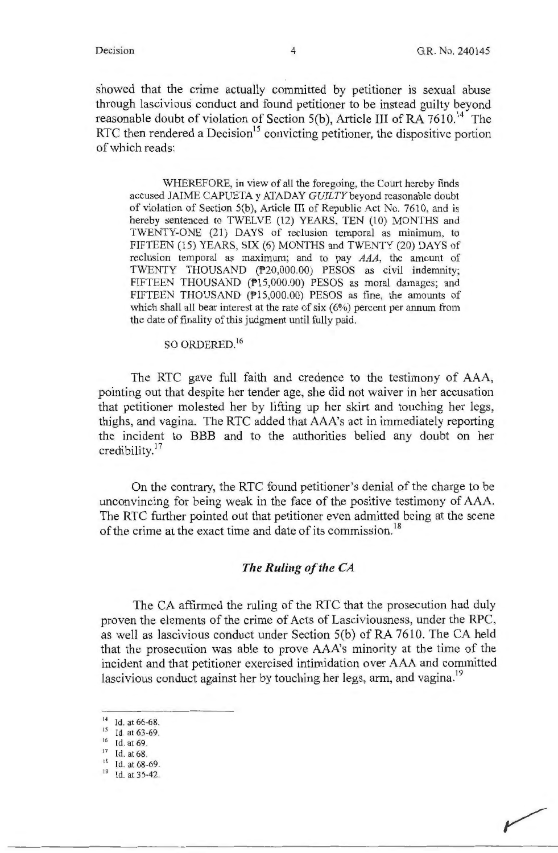showed that the crime actually committed by petitioner is sexual abuse through lascivious conduct and found petitioner to be instead guilty beyond reasonable doubt of violation of Section 5(b), Article III of RA  $7610$ <sup>14</sup> The RTC then rendered a Decision<sup>15</sup> convicting petitioner, the dispositive portion of which reads:

WHEREFORE, in view of all the foregoing, the Court hereby finds accused JAIME CAPUETA y ATADAY *GUILTY* beyond reasonable doubt of violation of Section 5(b), Article III of Republic Act No. 7610, and is hereby sentenced to TWELVE (12) YEARS, TEN (10) MONTHS and TWENTY-ONE (21) DAYS of reclusion temporal as minimum, to FIFTEEN (15) YEARS, SIX (6) MONTHS and TWENTY (20) DAYS of reclusion temporal as maximum; and to pay AAA, the amount of TWENTY THOUSAND (P20,000.00) PESOS as civil indemnity; FIFTEEN THOUSAND (P15,000.00) PESOS as moral damages; and FIFTEEN THOUSAND (P15,000.00) PESOS as fine, the amounts of which shall all bear interest at the rate of six (6%) percent per annum from the date of finality of this judgment until fully paid.

SO ORDERED. <sup>16</sup>

The RTC gave full faith and credence to the testimony of AAA, pointing out that despite her tender age, she did not waiver in her accusation that petitioner molested her by lifting up her skirt and touching her legs, thighs, and vagina. The RTC added that AAA's act in immediately reporting the incident to BBB and to the authorities belied any doubt on her credibility.<sup>17</sup>

On the contrary, the RTC found petitioner's denial of the charge to be unconvincing for being weak in the face of the positive testimony of AAA. The RTC further pointed out that petitioner even admitted being at the scene of the crime at the exact time and date of its commission.<sup>18</sup>

#### *The Ruling of the CA*

The CA affirmed the ruling of the RTC that the prosecution had duly proven the elements of the crime of Acts of Lasciviousness, under the RPC, as well as lascivious conduct under Section 5(b) of RA 7610. The CA held that the prosecution was able to prove AAA's minority at the time of the incident and that petitioner exercised intimidation over AAA and committed lascivious conduct against her by touching her legs, arm, and vagina.<sup>19</sup>

<sup>&</sup>lt;sup>14</sup> Id. at 66-68.<br><sup>15</sup> Id. at 63-69.

<sup>&</sup>lt;sup>16</sup> Id. at 69.

 $17$  Id. at 68.<br>18 Id. at 68-69.

<sup>&</sup>lt;sup>19</sup> Id. at 35-42.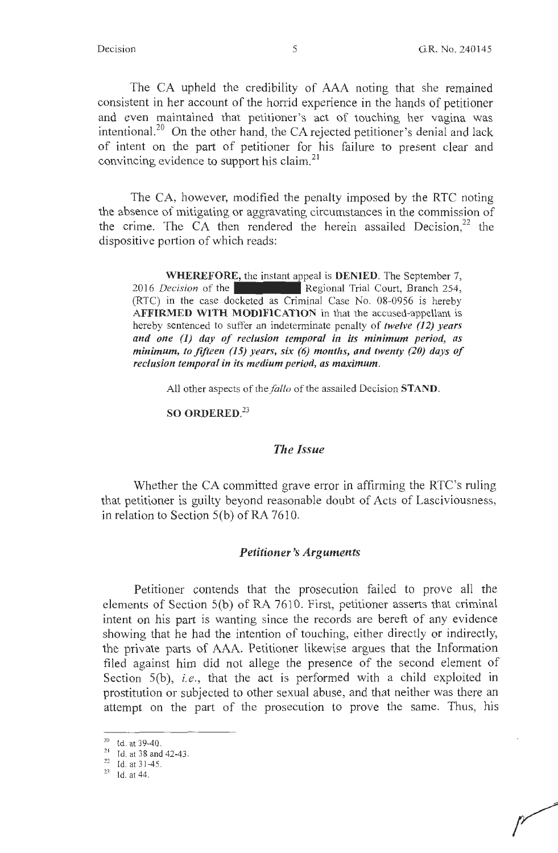The CA upheld the credibility of AAA noting that she remained consistent in her account of the horrid experience in the hands of petitioner and even maintained that petitioner's act of touching her vagina was intentional.<sup>20</sup> On the other hand, the CA rejected petitioner's denial and lack of intent on the part of petitioner for his failure to present clear and convincing evidence to support his claim.<sup>21</sup>

The CA, however, modified the penalty imposed by the RTC noting the absence of mitigating or aggravating circumstances in the commission of the crime. The CA then rendered the herein assailed Decision, $2^2$  the dispositive portion of which reads:

**WHEREFORE,** the instant appeal is **DENIED.** The September 7, 2016 *Decision* of the Regional Trial Court, Branch 254, (RTC) in the case docketed as Criminal Case No. 08-0956 is hereby **AFFIRMED WITH MODIFICATION** in that the accused-appellant is hereby sentenced to suffer an indeterminate penalty of *twelve (12) years and one (1) day of reclusion temporal in its minimum period, as minimum, to fifteen (15) years, six (6) months, and twenty (20) days of reclusion temporal in its medium period, as maximum.* 

All other aspects of the *fallo* of the assailed Decision **STAND**.

# **SO ORDERED.<sup>23</sup>**

#### *The Issue*

Whether the CA committed grave error in affirming the RTC's ruling that petitioner is guilty beyond reasonable doubt of Acts of Lasciviousness, in relation to Section 5(b) of RA 7610.

#### *Petitioner's Arguments*

Petitioner contends that the prosecution failed to prove all the elements of Section S(b) of RA 7610. First, petitioner asserts that criminal intent on his part is wanting since the records are bereft of any evidence showing that he had the intention of touching, either directly or indirectly, the private parts of AAA. Petitioner likewise argues that the Information filed against him did not allege the presence of the second element of Section 5(b), *i.e.*, that the act is performed with a child exploited in prostitution or subjected to other sexual abuse, and that neither was there an attempt on the part of the prosecution to prove the same. Thus, his

<sup>&</sup>lt;sup>20</sup> Id. at 39-40.<br><sup>21</sup> Id. at 38 and 42-43.<br><sup>22</sup> Id. at 31-45.<br><sup>23</sup> Id. at 44.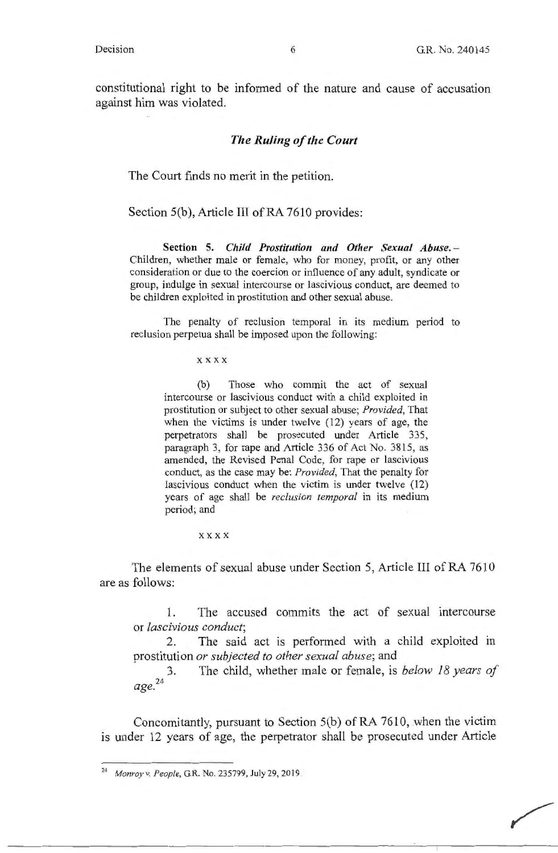constitutional right to be informed of the nature and cause of accusation against him was violated.

#### *The Ruling of the Court*

The Court finds no merit in the petition.

Section S(b), Article III of RA 7610 provides:

**Section 5.** *Child Prostitution and Other Sexual Abuse.* - Children, whether male or female, who for money, profit, or any other consideration or due to the coercion or influence of any adult, syndicate or group, indulge in sexual intercourse or lascivious conduct, are deemed to be children exploited in prostitution and other sexual abuse.

The penalty of reclusion temporal in its medium period to reclusion perpetua shall be imposed upon the following:

**xxxx** 

(b) Those who commit the act of sexual intercourse or lascivious conduct with a child exploited **in**  prostitution or subject to other sexual abuse; *Provided,* That when the victims is under twelve (12) years of age, the perpetrators shall be prosecuted under Article 335, paragraph 3, for rape and Article 336 of Act No. 3815, as amended, the Revised Penal Code, for rape or lascivious conduct, as the case may be: *Provided,* That the penalty for lascivious conduct when the victim is under twelve (12) years of age shall be *reclusion temporal* in its medium period; and

**xxxx** 

The elements of sexual abuse under Section 5, Article III of RA 7610 are as follows:

1. The accused commits the act of sexual intercourse or *lascivious conduct;* 

2. The said act is performed with a child exploited in prostitution *or subjected to other sexual abuse;* and

24 *age.*  3. The child, whether male or female, is *below 18 years of* 

Concomitantly, pursuant to Section S(b) of RA 7610, when the victim is under 12 years of age, the perpetrator shall be prosecuted under Article

<sup>24</sup>*Monroy v. People,* GR. No. 235799, July 29, 2019.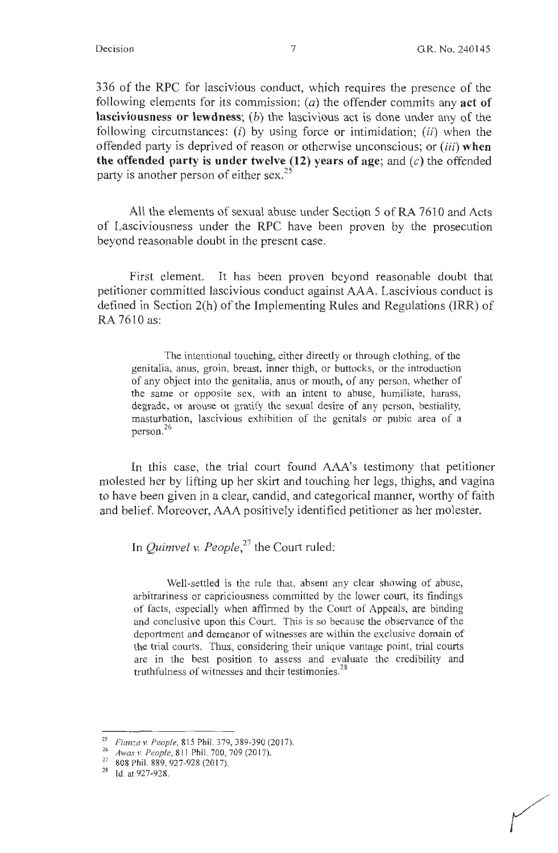336 of the RPC for lascivious conduct, which requires the presence of the following elements for its commission: (a) the offender commits any **act of lasciviousness or lewdness;** (b) the lascivious act is done under any of the following circumstances: (i) by using force or intimidation; *(ii)* when the offended party is deprived of reason or otherwise unconscious; or *(iii)* **when**  the offended party is under twelve  $(12)$  years of age; and  $(c)$  the offended party is another person of either sex.<sup>25</sup>

All the elements of sexual abuse under Section 5 of RA 7610 and Acts of Lasciviousness under the RPC have been proven by the prosecution beyond reasonable doubt in the present case.

First element. It has been proven beyond reasonable doubt that petitioner committed lascivious conduct against AAA. Lascivious conduct is defined in Section 2(h) of the Implementing Rules and Regulations (IRR) of RA 7610 as:

The intentional touching, either directly or through clothing, of the genitalia, anus, groin, breast, inner thigh, or buttocks, or the introduction of any object into the genitalia, anus or mouth, of any person, whether of the same or opposite sex, with an intent to abuse, humiliate, harass, degrade, or arouse or gratify the sexual desire of any person, bestiality, masturbation, lascivious exhibition of the genitals or pubic area of a person. 26

In this case, the trial court found AAA's testimony that petitioner molested her by lifting up her skirt and touching her legs, thighs, and vagina to have been given in a clear, candid, and categorical manner, worthy of faith and belief. Moreover, AAA positively identified petitioner as her molester.

In *Quimvel v. People,<sup>27</sup>*the Court ruled:

Well-settled is the rule that, absent any clear showing of abuse, arbitrariness or capriciousness committed by the lower court, its findings of facts, especially when affirmed by the Court of Appeals, are binding and conclusive upon this Court. This is so because the observance of the deportment and demeanor of witnesses are within the exclusive domain of the trial courts. Thus, considering their unique vantage point, trial courts are in the best position to assess and evaluate the credibility and truthfulness of witnesses and their testimonies.<sup>28</sup>

<sup>25</sup>*Fianza* v. *People,* 815 Phil. 379, 389-390(2017). 26 *Awas* v. *People,* 811 Phil. 700, 709 (2017). 27 808 Phil. 889, 927-928 (2017).

<sup>28</sup> Id. at 927-928.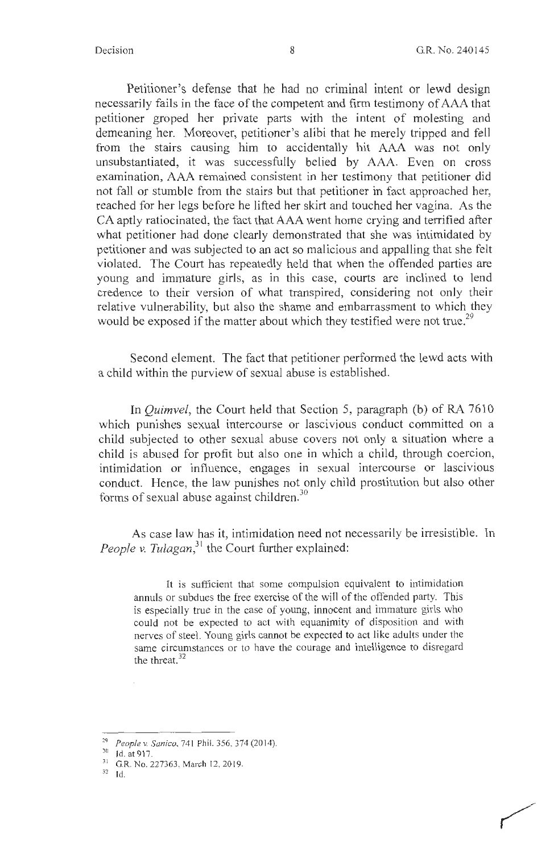Petitioner's defense that he had no criminal intent or lewd design necessarily fails in the face of the competent and firm testimony of AAA that petitioner groped her private parts with the intent of molesting and demeaning her. Moreover, petitioner's alibi that he merely tripped and fell from the stairs causing him to accidentally hit AAA was not only unsubstantiated, it was successfully belied by AAA. Even on cross examination, AAA remained consistent in her testimony that petitioner did not fall or stumble from the stairs but that petitioner in fact approached her, reached for her legs before he lifted her skirt and touched her vagina. As the CA aptly ratiocinated, the fact that AAA went home crying and terrified after what petitioner had done clearly demonstrated that she was intimidated by petitioner and was subjected to an act so malicious and appalling that she felt violated. The Court has repeatedly held that when the offended parties are young and immature girls, as in this case, courts are inclined to lend credence to their version of what transpired, considering not only their relative vulnerability, but also the shame and embarrassment to which they would be exposed if the matter about which they testified were not true.<sup>29</sup>

Second element. The fact that petitioner performed the lewd acts with a child within the purview of sexual abuse is established.

In *Quimvel,* the Court held that Section 5, paragraph (b) of RA 7610 which punishes sexual intercourse or lascivious conduct committed on a child subjected to other sexual abuse covers not only a situation where a child is abused for profit but also one in which a child, through coercion, intimidation or influence, engages in sexual intercourse or lascivious conduct. Hence, the law punishes not only child prostitution but also other forms of sexual abuse against children. $30$ 

As case law has it, intimidation need not necessarily be irresistible. In *People v. Tulagan*,<sup>31</sup> the Court further explained:

It is sufficient that some compulsion equivalent to intimidation annuls or subdues the free exercise of the will of the offended party. This is especially true in the case of young, innocent and immature girls who could not be expected to act with equanimity of disposition and with nerves of steel. Young girls cannot be expected to act like adults under the same circumstances or to have the courage and intelligence to disregard the threat.<sup>32</sup>

<sup>&</sup>lt;sup>29</sup> *People v. Sanico*, 741 Phil. 356, 374 (2014).<br><sup>30</sup> Id. at 917.<br><sup>31</sup> G.R. No. 227363, March 12, 2019.

<sup>32</sup> Id.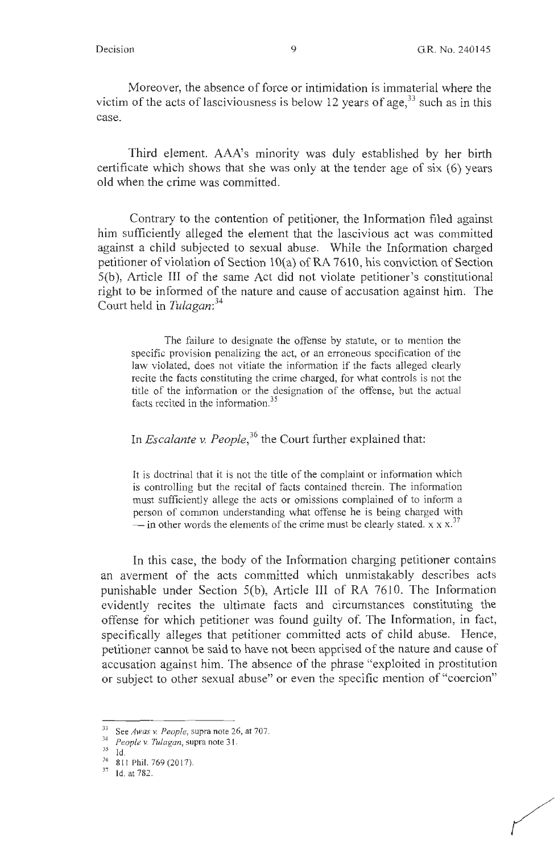Moreover, the absence of force or intimidation is immaterial where the victim of the acts of lasciviousness is below 12 years of age,  $33 \text{ such as in this}$ case.

Third element. AAA's minority was duly established by her birth certificate which shows that she was only at the tender age of six (6) years old when the crime was committed.

Contrary to the contention of petitioner, the Information filed against him sufficiently alleged the element that the lascivious act was committed against a child subjected to sexual abuse. While the Information charged petitioner of violation of Section 10(a) of RA 7610, his conviction of Section  $5(b)$ , Article III of the same Act did not violate petitioner's constitutional right to be informed of the nature and cause of accusation against him. The Court held in *Tulagan: <sup>34</sup>*

The failure to designate the offense by statute, or to mention the specific provision penalizing the act, or an erroneous specification of the law violated, does not vitiate the information if the facts alleged clearly recite the facts constituting the crime charged, for what controls is not the title of the information or the designation of the offense, but the actual facts recited in the information.<sup>35</sup>

In *Escalante v. People,<sup>36</sup>*the Court further explained that:

It is doctrinal that it is not the title of the complaint or information which is controlling but the recital of facts contained therein. The information must sufficiently allege the acts or omissions complained of to inform a person of common understanding what offense he is being charged with  $\frac{1}{x}$  in other words the elements of the crime must be clearly stated. x x x.<sup>37</sup>

In this case, the body of the Information charging petitioner contains an averment of the acts committed which unmistakably describes acts punishable under Section  $5(b)$ , Article III of RA 7610. The Information evidently recites the ultimate facts and circumstances constituting the offense for which petitioner was found guilty of. The Information, in fact, specifically alleges that petitioner committed acts of child abuse. Hence, petitioner cannot be said to have not been apprised of the nature and cause of accusation against him. The absence of the phrase "exploited in prostitution or subject to other sexual abuse" or even the specific mention of "coercion"

<sup>33</sup> See *Awas v. People,* supra note 26, at 707. 34 *People v. Tulagan,* supra note 3 I.

 $rac{36}{37}$  811 Phil. 769 (2017).<br> $rac{36}{10}$  at 782.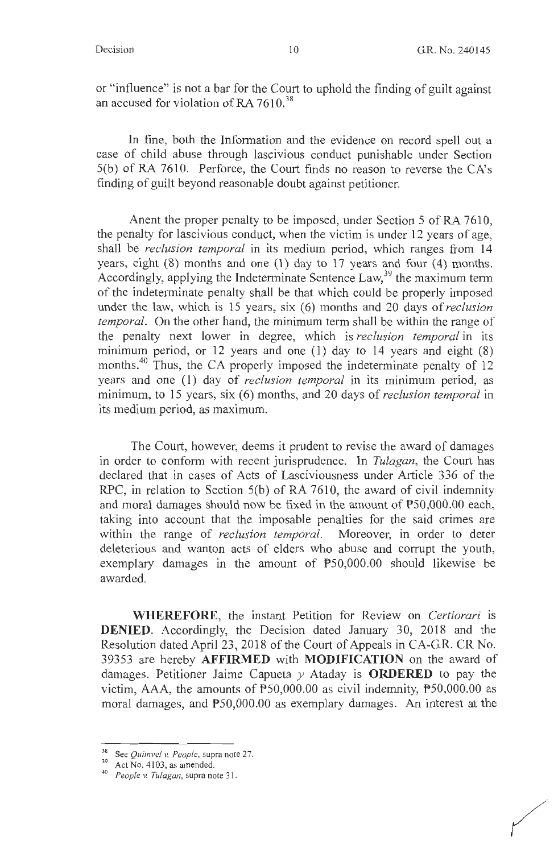or "influence" is not a bar for the Court to uphold the finding of guilt against an accused for violation of RA  $7610^{38}$ 

In fine, both the Information and the evidence on record spell out a case of child abuse through lascivious conduct punishable under Section 5(b) of RA 7610. Perforce, the Court finds no reason to reverse the CA's finding of guilt beyond reasonable doubt against petitioner.

Anent the proper penalty to be imposed, under Section 5 of RA 7610, the penalty for lascivious conduct, when the victim is under 12 years of age, shall be *reclusion temporal* in its medium period, which ranges from 14 years, eight  $(8)$  months and one  $(1)$  day to 17 years and four  $(4)$  months. Accordingly, applying the Indeterminate Sentence Law,  $39$  the maximum term of the indeterminate penalty shall be that which could be properly imposed under the law, which is 15 years, six (6) months and 20 days of *reclusion temporal.* On the other hand, the minimum term shall be within the range of the penalty next lower in degree, which is *reclusion temporal* in its minimum period, or 12 years and one (1) day to 14 years and eight (8) months.<sup>40</sup> Thus, the CA properly imposed the indeterminate penalty of 12 years and one (1) day of *reclusion temporal* in its minimum period, as minimum, to 15 years, six (6) months, and 20 days of *reclusion temporal* in its medium period, as maximum.

The Court, however, deems it prudent to revise the award of damages in order to conform with recent jurisprudence. In *Tulagan,* the Court has declared that in cases of Acts of Lasciviousness under Article 336 of the RPC, in relation to Section 5(b) of RA 7610, the award of civil indemnity and moral damages should now be fixed in the amount of P50,000.00 each, taking into account that the imposable penalties for the said crimes are within the range of *reclusion temporal.* Moreover, in order to deter deleterious and wanton acts of elders who abuse and corrupt the youth, exemplary damages in the amount of P50,000.00 should likewise be awarded.

**WHEREFORE,** the instant Petition for Review on *Certiorari* is **DENIED.** Accordingly, the Decision dated January 30, 2018 and the Resolution dated April 23, 2018 of the Court of Appeals in CA-G.R. CR No. 39353 are hereby **AFFIRMED** with **MODIFICATION** on the award of damages. Petitioner Jaime Capueta *y* Ataday is **ORDERED** to pay the victim, AAA, the amounts of P50,000.00 as civil indemnity, P50,000.00 as moral damages, and P50,000.00 as exemplary damages. An interest at the

<sup>38</sup> See *Quimvel v. People,* supra note 27. 39 Act No. 4103, as amended. 40 *People v. Tulagan,* supra note 3 1.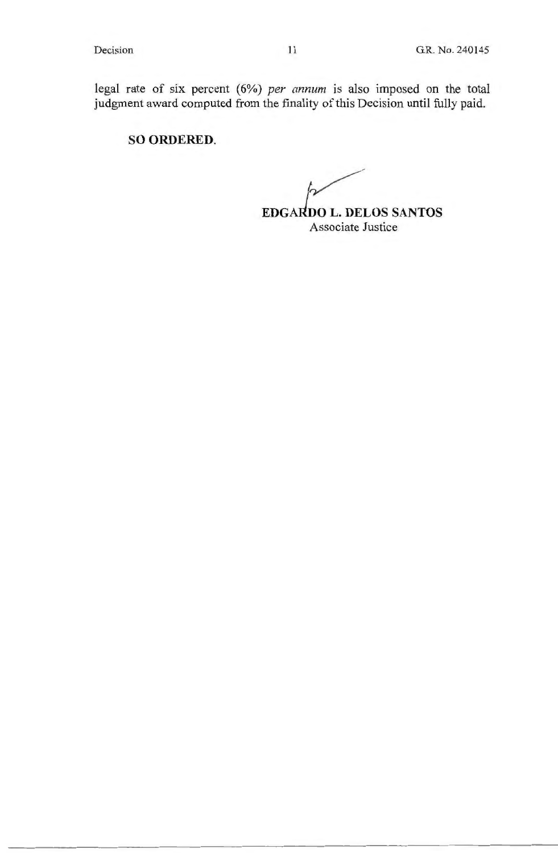legal rate of six percent (6%) *per annum* is also imposed on the total judgment award computed from the finality of this Decision until fully paid.

# **SO ORDERED.**

**EDGARDO L. DELOS SANTOS** Associate Justice